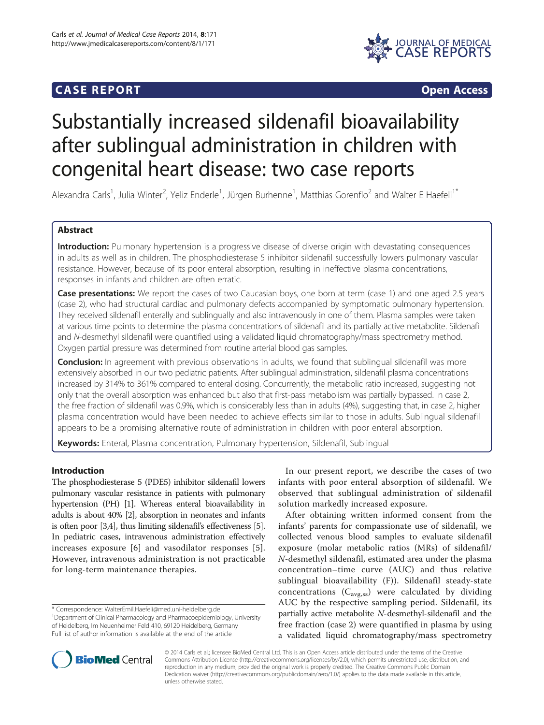# **CASE REPORT CASE REPORT**



# Substantially increased sildenafil bioavailability after sublingual administration in children with congenital heart disease: two case reports

Alexandra Carls<sup>1</sup>, Julia Winter<sup>2</sup>, Yeliz Enderle<sup>1</sup>, Jürgen Burhenne<sup>1</sup>, Matthias Gorenflo<sup>2</sup> and Walter E Haefeli<sup>1\*</sup>

# Abstract

Introduction: Pulmonary hypertension is a progressive disease of diverse origin with devastating consequences in adults as well as in children. The phosphodiesterase 5 inhibitor sildenafil successfully lowers pulmonary vascular resistance. However, because of its poor enteral absorption, resulting in ineffective plasma concentrations, responses in infants and children are often erratic.

Case presentations: We report the cases of two Caucasian boys, one born at term (case 1) and one aged 2.5 years (case 2), who had structural cardiac and pulmonary defects accompanied by symptomatic pulmonary hypertension. They received sildenafil enterally and sublingually and also intravenously in one of them. Plasma samples were taken at various time points to determine the plasma concentrations of sildenafil and its partially active metabolite. Sildenafil and N-desmethyl sildenafil were quantified using a validated liquid chromatography/mass spectrometry method. Oxygen partial pressure was determined from routine arterial blood gas samples.

**Conclusion:** In agreement with previous observations in adults, we found that sublingual sildenafil was more extensively absorbed in our two pediatric patients. After sublingual administration, sildenafil plasma concentrations increased by 314% to 361% compared to enteral dosing. Concurrently, the metabolic ratio increased, suggesting not only that the overall absorption was enhanced but also that first-pass metabolism was partially bypassed. In case 2, the free fraction of sildenafil was 0.9%, which is considerably less than in adults (4%), suggesting that, in case 2, higher plasma concentration would have been needed to achieve effects similar to those in adults. Sublingual sildenafil appears to be a promising alternative route of administration in children with poor enteral absorption.

Keywords: Enteral, Plasma concentration, Pulmonary hypertension, Sildenafil, Sublingual

# Introduction

The phosphodiesterase 5 (PDE5) inhibitor sildenafil lowers pulmonary vascular resistance in patients with pulmonary hypertension (PH) [\[1\]](#page-4-0). Whereas enteral bioavailability in adults is about 40% [\[2\]](#page-4-0), absorption in neonates and infants is often poor [[3,4\]](#page-4-0), thus limiting sildenafil's effectiveness [[5](#page-4-0)]. In pediatric cases, intravenous administration effectively increases exposure [[6](#page-4-0)] and vasodilator responses [[5](#page-4-0)]. However, intravenous administration is not practicable for long-term maintenance therapies.

\* Correspondence: [WalterEmil.Haefeli@med.uni-heidelberg.de](mailto:WalterEmil.Haefeli@med.uni-heidelberg.de) <sup>1</sup> Department of Clinical Pharmacology and Pharmacoepidemiology, University of Heidelberg, Im Neuenheimer Feld 410, 69120 Heidelberg, Germany Full list of author information is available at the end of the article

In our present report, we describe the cases of two infants with poor enteral absorption of sildenafil. We observed that sublingual administration of sildenafil solution markedly increased exposure.

After obtaining written informed consent from the infants' parents for compassionate use of sildenafil, we collected venous blood samples to evaluate sildenafil exposure (molar metabolic ratios (MRs) of sildenafil/ N-desmethyl sildenafil, estimated area under the plasma concentration–time curve (AUC) and thus relative sublingual bioavailability (F)). Sildenafil steady-state concentrations  $(C_{\text{avg,ss}})$  were calculated by dividing AUC by the respective sampling period. Sildenafil, its partially active metabolite N-desmethyl-sildenafil and the free fraction (case 2) were quantified in plasma by using a validated liquid chromatography/mass spectrometry



© 2014 Carls et al.; licensee BioMed Central Ltd. This is an Open Access article distributed under the terms of the Creative Commons Attribution License [\(http://creativecommons.org/licenses/by/2.0\)](http://creativecommons.org/licenses/by/2.0), which permits unrestricted use, distribution, and reproduction in any medium, provided the original work is properly credited. The Creative Commons Public Domain Dedication waiver [\(http://creativecommons.org/publicdomain/zero/1.0/](http://creativecommons.org/publicdomain/zero/1.0/)) applies to the data made available in this article, unless otherwise stated.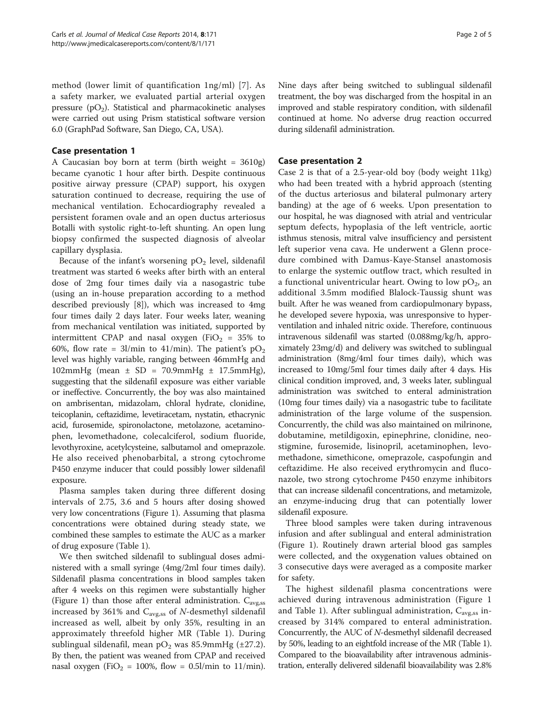method (lower limit of quantification 1ng/ml) [[7\]](#page-4-0). As a safety marker, we evaluated partial arterial oxygen pressure  $(pO_2)$ . Statistical and pharmacokinetic analyses were carried out using Prism statistical software version 6.0 (GraphPad Software, San Diego, CA, USA).

# Case presentation 1

A Caucasian boy born at term (birth weight = 3610g) became cyanotic 1 hour after birth. Despite continuous positive airway pressure (CPAP) support, his oxygen saturation continued to decrease, requiring the use of mechanical ventilation. Echocardiography revealed a persistent foramen ovale and an open ductus arteriosus Botalli with systolic right-to-left shunting. An open lung biopsy confirmed the suspected diagnosis of alveolar capillary dysplasia.

Because of the infant's worsening  $pO<sub>2</sub>$  level, sildenafil treatment was started 6 weeks after birth with an enteral dose of 2mg four times daily via a nasogastric tube (using an in-house preparation according to a method described previously [[8\]](#page-4-0)), which was increased to 4mg four times daily 2 days later. Four weeks later, weaning from mechanical ventilation was initiated, supported by intermittent CPAP and nasal oxygen (FiO<sub>2</sub> = 35% to 60%, flow rate = 3l/min to 41/min). The patient's  $pO_2$ level was highly variable, ranging between 46mmHg and 102mmHg (mean  $\pm$  SD = 70.9mmHg  $\pm$  17.5mmHg), suggesting that the sildenafil exposure was either variable or ineffective. Concurrently, the boy was also maintained on ambrisentan, midazolam, chloral hydrate, clonidine, teicoplanin, ceftazidime, levetiracetam, nystatin, ethacrynic acid, furosemide, spironolactone, metolazone, acetaminophen, levomethadone, colecalciferol, sodium fluoride, levothyroxine, acetylcysteine, salbutamol and omeprazole. He also received phenobarbital, a strong cytochrome P450 enzyme inducer that could possibly lower sildenafil exposure.

Plasma samples taken during three different dosing intervals of 2.75, 3.6 and 5 hours after dosing showed very low concentrations (Figure [1](#page-2-0)). Assuming that plasma concentrations were obtained during steady state, we combined these samples to estimate the AUC as a marker of drug exposure (Table [1](#page-2-0)).

We then switched sildenafil to sublingual doses administered with a small syringe (4mg/2ml four times daily). Sildenafil plasma concentrations in blood samples taken after 4 weeks on this regimen were substantially higher (Figure [1](#page-2-0)) than those after enteral administration.  $C_{\text{avg,ss}}$ increased by 361% and  $C_{\text{avg,ss}}$  of *N*-desmethyl sildenafil increased as well, albeit by only 35%, resulting in an approximately threefold higher MR (Table [1\)](#page-2-0). During sublingual sildenafil, mean  $pO_2$  was 85.9mmHg (±27.2). By then, the patient was weaned from CPAP and received nasal oxygen (FiO<sub>2</sub> = 100%, flow = 0.5l/min to 11/min). Nine days after being switched to sublingual sildenafil treatment, the boy was discharged from the hospital in an improved and stable respiratory condition, with sildenafil continued at home. No adverse drug reaction occurred during sildenafil administration.

## Case presentation 2

Case 2 is that of a 2.5-year-old boy (body weight 11kg) who had been treated with a hybrid approach (stenting of the ductus arteriosus and bilateral pulmonary artery banding) at the age of 6 weeks. Upon presentation to our hospital, he was diagnosed with atrial and ventricular septum defects, hypoplasia of the left ventricle, aortic isthmus stenosis, mitral valve insufficiency and persistent left superior vena cava. He underwent a Glenn procedure combined with Damus-Kaye-Stansel anastomosis to enlarge the systemic outflow tract, which resulted in a functional univentricular heart. Owing to low  $pO_2$ , an additional 3.5mm modified Blalock-Taussig shunt was built. After he was weaned from cardiopulmonary bypass, he developed severe hypoxia, was unresponsive to hyperventilation and inhaled nitric oxide. Therefore, continuous intravenous sildenafil was started (0.088mg/kg/h, approximately 23mg/d) and delivery was switched to sublingual administration (8mg/4ml four times daily), which was increased to 10mg/5ml four times daily after 4 days. His clinical condition improved, and, 3 weeks later, sublingual administration was switched to enteral administration (10mg four times daily) via a nasogastric tube to facilitate administration of the large volume of the suspension. Concurrently, the child was also maintained on milrinone, dobutamine, metildigoxin, epinephrine, clonidine, neostigmine, furosemide, lisinopril, acetaminophen, levomethadone, simethicone, omeprazole, caspofungin and ceftazidime. He also received erythromycin and fluconazole, two strong cytochrome P450 enzyme inhibitors that can increase sildenafil concentrations, and metamizole, an enzyme-inducing drug that can potentially lower sildenafil exposure.

Three blood samples were taken during intravenous infusion and after sublingual and enteral administration (Figure [1](#page-2-0)). Routinely drawn arterial blood gas samples were collected, and the oxygenation values obtained on 3 consecutive days were averaged as a composite marker for safety.

The highest sildenafil plasma concentrations were achieved during intravenous administration (Figure [1](#page-2-0) and Table [1\)](#page-2-0). After sublingual administration,  $C_{\text{avg,ss}}$  increased by 314% compared to enteral administration. Concurrently, the AUC of N-desmethyl sildenafil decreased by 50%, leading to an eightfold increase of the MR (Table [1](#page-2-0)). Compared to the bioavailability after intravenous administration, enterally delivered sildenafil bioavailability was 2.8%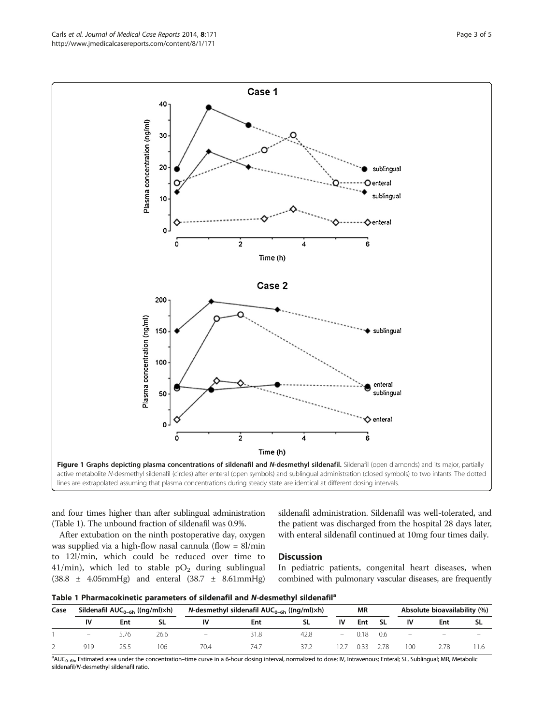<span id="page-2-0"></span>Carls et al. Journal of Medical Case Reports 2014, 8:171 **Page 3 of 5** and 2014 **Page 3 of 5** and 2014, 8:171 http://www.jmedicalcasereports.com/content/8/1/171



and four times higher than after sublingual administration (Table 1). The unbound fraction of sildenafil was 0.9%.

After extubation on the ninth postoperative day, oxygen was supplied via a high-flow nasal cannula (flow = 8l/min to 12l/min, which could be reduced over time to 41/min), which led to stable  $pO<sub>2</sub>$  during sublingual (38.8 ± 4.05mmHg) and enteral (38.7 ± 8.61mmHg)

sildenafil administration. Sildenafil was well-tolerated, and the patient was discharged from the hospital 28 days later, with enteral sildenafil continued at 10mg four times daily.

# **Discussion**

In pediatric patients, congenital heart diseases, when combined with pulmonary vascular diseases, are frequently

|  | Table 1 Pharmacokinetic parameters of sildenafil and N-desmethyl sildenafil <sup>a</sup> |  |  |  |  |  |
|--|------------------------------------------------------------------------------------------|--|--|--|--|--|
|--|------------------------------------------------------------------------------------------|--|--|--|--|--|

| Case | Sildenafil $AUC_{0-6h}$ ((ng/ml) $\times h$ ) |      |      | N-desmethyl sildenafil $AUC_{0-6h}$ ((ng/ml) $\times h$ ) |      |      | <b>MR</b> |      |      | Absolute bioavailability (%) |                          |                          |
|------|-----------------------------------------------|------|------|-----------------------------------------------------------|------|------|-----------|------|------|------------------------------|--------------------------|--------------------------|
|      | IV                                            | Ent  |      |                                                           | Ent  |      | IV        | Ent  | -SL  | IV                           | Ent                      |                          |
|      | $\equiv$                                      | 5.76 | 26.6 | $\overline{\phantom{m}}$                                  | 31.8 | 42.8 |           |      |      | $-$ 0.18 0.6 $-$             | $\overline{\phantom{0}}$ | $\overline{\phantom{a}}$ |
|      | 919                                           |      | 106  | 70.4                                                      | 74., |      |           | 0.33 | 2.78 | 100                          |                          |                          |

<sup>a</sup>AUC<sub>0–6h</sub>, Estimated area under the concentration–time curve in a 6-hour dosing interval, normalized to dose; IV, Intravenous; Enteral; SL, Sublingual; MR, Metabolic sildenafil/N-desmethyl sildenafil ratio.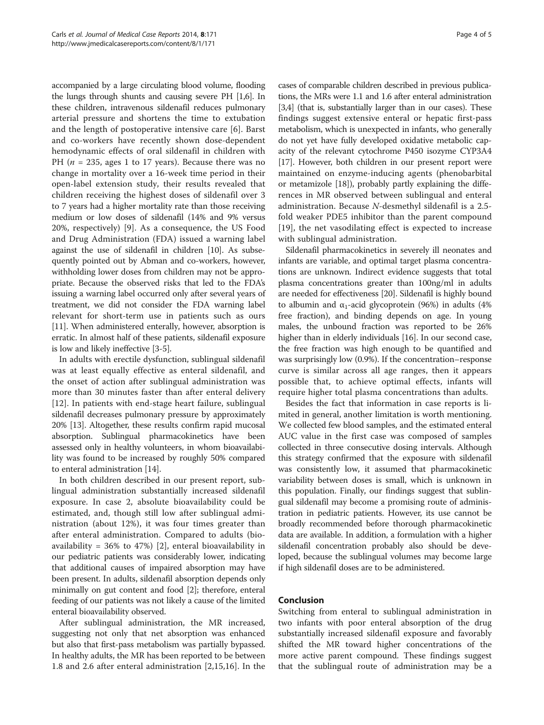accompanied by a large circulating blood volume, flooding the lungs through shunts and causing severe PH [[1,6](#page-4-0)]. In these children, intravenous sildenafil reduces pulmonary arterial pressure and shortens the time to extubation and the length of postoperative intensive care [[6\]](#page-4-0). Barst and co-workers have recently shown dose-dependent hemodynamic effects of oral sildenafil in children with PH ( $n = 235$ , ages 1 to 17 years). Because there was no change in mortality over a 16-week time period in their open-label extension study, their results revealed that children receiving the highest doses of sildenafil over 3 to 7 years had a higher mortality rate than those receiving medium or low doses of sildenafil (14% and 9% versus 20%, respectively) [[9](#page-4-0)]. As a consequence, the US Food and Drug Administration (FDA) issued a warning label against the use of sildenafil in children [\[10\]](#page-4-0). As subsequently pointed out by Abman and co-workers, however, withholding lower doses from children may not be appropriate. Because the observed risks that led to the FDA's issuing a warning label occurred only after several years of treatment, we did not consider the FDA warning label relevant for short-term use in patients such as ours [[11](#page-4-0)]. When administered enterally, however, absorption is erratic. In almost half of these patients, sildenafil exposure is low and likely ineffective [[3-5\]](#page-4-0).

In adults with erectile dysfunction, sublingual sildenafil was at least equally effective as enteral sildenafil, and the onset of action after sublingual administration was more than 30 minutes faster than after enteral delivery [[12\]](#page-4-0). In patients with end-stage heart failure, sublingual sildenafil decreases pulmonary pressure by approximately 20% [[13](#page-4-0)]. Altogether, these results confirm rapid mucosal absorption. Sublingual pharmacokinetics have been assessed only in healthy volunteers, in whom bioavailability was found to be increased by roughly 50% compared to enteral administration [[14](#page-4-0)].

In both children described in our present report, sublingual administration substantially increased sildenafil exposure. In case 2, absolute bioavailability could be estimated, and, though still low after sublingual administration (about 12%), it was four times greater than after enteral administration. Compared to adults (bioavailability =  $36\%$  to  $47\%)$  [[2\]](#page-4-0), enteral bioavailability in our pediatric patients was considerably lower, indicating that additional causes of impaired absorption may have been present. In adults, sildenafil absorption depends only minimally on gut content and food [[2](#page-4-0)]; therefore, enteral feeding of our patients was not likely a cause of the limited enteral bioavailability observed.

After sublingual administration, the MR increased, suggesting not only that net absorption was enhanced but also that first-pass metabolism was partially bypassed. In healthy adults, the MR has been reported to be between 1.8 and 2.6 after enteral administration [\[2](#page-4-0),[15,16\]](#page-4-0). In the

cases of comparable children described in previous publications, the MRs were 1.1 and 1.6 after enteral administration [[3,4](#page-4-0)] (that is, substantially larger than in our cases). These findings suggest extensive enteral or hepatic first-pass metabolism, which is unexpected in infants, who generally do not yet have fully developed oxidative metabolic capacity of the relevant cytochrome P450 isozyme CYP3A4 [[17](#page-4-0)]. However, both children in our present report were maintained on enzyme-inducing agents (phenobarbital or metamizole [\[18\]](#page-4-0)), probably partly explaining the differences in MR observed between sublingual and enteral administration. Because N-desmethyl sildenafil is a 2.5 fold weaker PDE5 inhibitor than the parent compound [[19\]](#page-4-0), the net vasodilating effect is expected to increase with sublingual administration.

Sildenafil pharmacokinetics in severely ill neonates and infants are variable, and optimal target plasma concentrations are unknown. Indirect evidence suggests that total plasma concentrations greater than 100ng/ml in adults are needed for effectiveness [\[20\]](#page-4-0). Sildenafil is highly bound to albumin and  $\alpha_1$ -acid glycoprotein (96%) in adults (4% free fraction), and binding depends on age. In young males, the unbound fraction was reported to be 26% higher than in elderly individuals [\[16\]](#page-4-0). In our second case, the free fraction was high enough to be quantified and was surprisingly low (0.9%). If the concentration–response curve is similar across all age ranges, then it appears possible that, to achieve optimal effects, infants will require higher total plasma concentrations than adults.

Besides the fact that information in case reports is limited in general, another limitation is worth mentioning. We collected few blood samples, and the estimated enteral AUC value in the first case was composed of samples collected in three consecutive dosing intervals. Although this strategy confirmed that the exposure with sildenafil was consistently low, it assumed that pharmacokinetic variability between doses is small, which is unknown in this population. Finally, our findings suggest that sublingual sildenafil may become a promising route of administration in pediatric patients. However, its use cannot be broadly recommended before thorough pharmacokinetic data are available. In addition, a formulation with a higher sildenafil concentration probably also should be developed, because the sublingual volumes may become large if high sildenafil doses are to be administered.

# Conclusion

Switching from enteral to sublingual administration in two infants with poor enteral absorption of the drug substantially increased sildenafil exposure and favorably shifted the MR toward higher concentrations of the more active parent compound. These findings suggest that the sublingual route of administration may be a